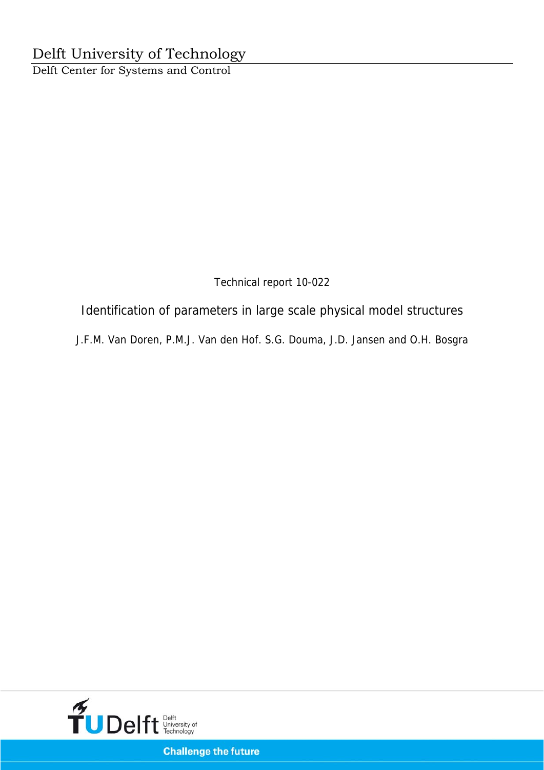Technical report 10-022

Identification of parameters in large scale physical model structures

J.F.M. Van Doren, P.M.J. Van den Hof. S.G. Douma, J.D. Jansen and O.H. Bosgra



**Challenge the future**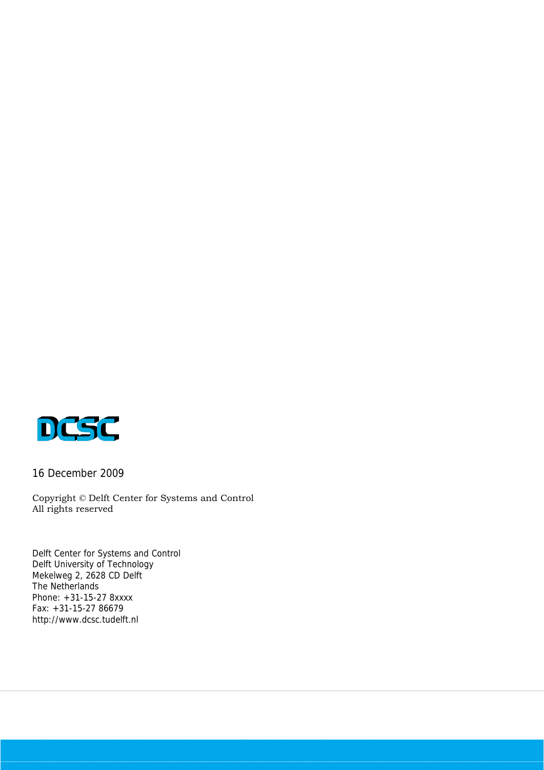

16 December 2009

Copyright © Delft Center for Systems and Control All rights reserved

Delft Center for Systems and Control Delft University of Technology Mekelweg 2, 2628 CD Delft The Netherlands Phone: +31-15-27 8xxxx Fax: +31-15-27 86679 http://www.dcsc.tudelft.nl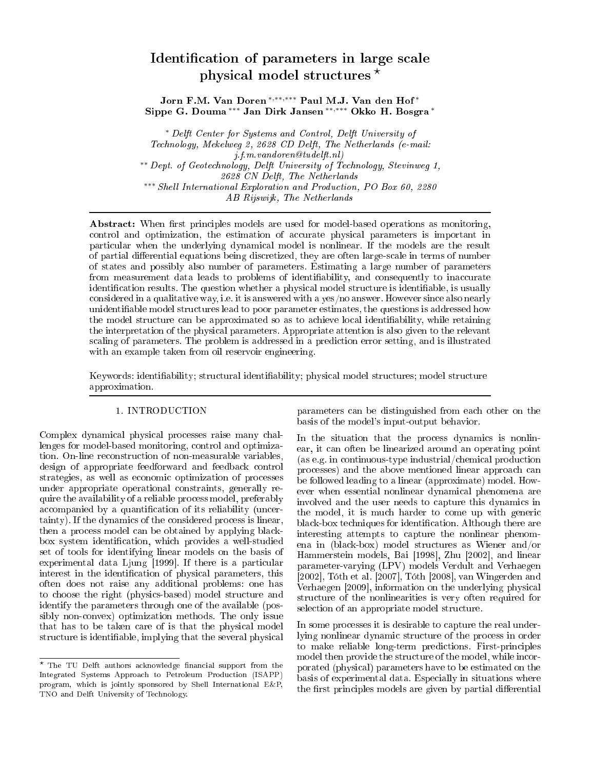# ation of parameters in an angle state  $\frac{1}{2}$  physical model structures  $\frac{1}{2}$

Jorn F.M. Van Doren <sup>∗</sup>,∗∗,∗∗∗ Paul M.J. Van den Hof <sup>∗</sup> Sippe G. Douma ∗∗∗ Jan Dirk Jansen ∗∗,∗∗∗ Okko H. Bosgra <sup>∗</sup>

∗ Delft Center for Systems and Control, Delft University of Te
hnology, Mekelweg 2, 2628 CD Delft, The Netherlands (e-mail:  $j.f.m.vandoren@tudelft.nl)$ ∗∗ Dept. of Geote
hnology, Delft University of Te
hnology, Stevinweg 1, 2628 CN Delft, The Netherlands ∗∗∗ Shel l International Exploration and Produ
tion, PO Box 60, 2280 AB Rijswijk, The Netherlands

Abstract: When first principles models are used for model-based operations as monitoring, control and optimization, the estimation of accurate physical parameters is important in parti
ular when the underlying dynami
al model is nonlinear. If the models are the result of partial differential equations being discretized, they are often large-scale in terms of number of states and possibly also number of parameters. Estimating a large number of parameters from measurement data leads to problems of identifiability, and consequently to inaccurate identification results. The question whether a physical model structure is identifiable, is usually considered in a qualitative way, i.e. it is answered with a yes/no answer. However since also nearly unidentifiable model structures lead to poor parameter estimates, the questions is addressed how the model structure can be approximated so as to achieve local identifiability, while retaining the interpretation of the physi
al parameters. Appropriate attention is also given to the relevant scaling of parameters. The problem is addressed in a prediction error setting, and is illustrated with an example taken from oil reservoir engineering.

Keywords: identifiability; structural identifiability; physical model structures; model structure approximation.

# 1. INTRODUCTION

Complex dynamical physical processes raise many challenges for model-based monitoring, control and optimization. On-line re
onstru
tion of non-measurable variables, design of appropriate feedforward and feedba
k ontrol strategies, as well as economic optimization of processes under appropriate operational onstraints, generally require the availability of a reliable pro
ess model, preferably accompanied by a quantification of its reliability (uncertainty). If the dynamics of the considered process is linear, then a process model can be obtained by applying blackbox system identification, which provides a well-studied set of tools for identifying linear models on the basis of experimental data Ljung  $[1999]$ . If there is a particular interest in the identification of physical parameters, this often does not raise any additional problems: one has to choose the right (physics-based) model structure and identify the parameters through one of the available (possibly nononvex) optimization methods. The only issue that has to be taken are of is that the physi
al model structure is identifiable, implying that the several physical

parameters an be distinguished from ea
h other on the basis of the model's input-output behavior.

In the situation that the process dynamics is nonlinear, it an often be linearized around an operating point (as e.g. in ontinuous-type industrial/
hemi
al produ
tion pro
esses) and the above mentioned linear approa
h an be followed leading to a linear (approximate) model. However when essential nonlinear dynami
al phenomena are involved and the user needs to capture this dynamics in the model, it is much harder to come up with generic black-box techniques for identification. Although there are interesting attempts to apture the nonlinear phenomena in (bla
k-box) model stru
tures as Wiener and/or Hammerstein models, Bai [1998], Zhu [2002], and linear parameter-varying (LPV) models Verdult and Verhaegen [2002], Tóth et al. [2007], Tóth [2008], van Wingerden and Verhaegen [2009], information on the underlying physical stru
ture of the nonlinearities is very often required for selection of an appropriate model structure.

In some pro
esses it is desirable to apture the real underlying nonlinear dynamic structure of the process in order to make reliable long-term predi
tions. First-prin
iples model then provide the structure of the model, while incorporated (physi
al) parameters have to be estimated on the basis of experimental data. Especially in situations where the first principles models are given by partial differential

<sup>\*</sup> The TU Delft authors acknowledge financial support from the The TU Delft authors a
knowledge nan
ial support from the Integrated Systems Approach to Petroleum Production (ISAPP) program, whi
h is jointly sponsored by Shell International E&P, TNO and Delft University of Te
hnology.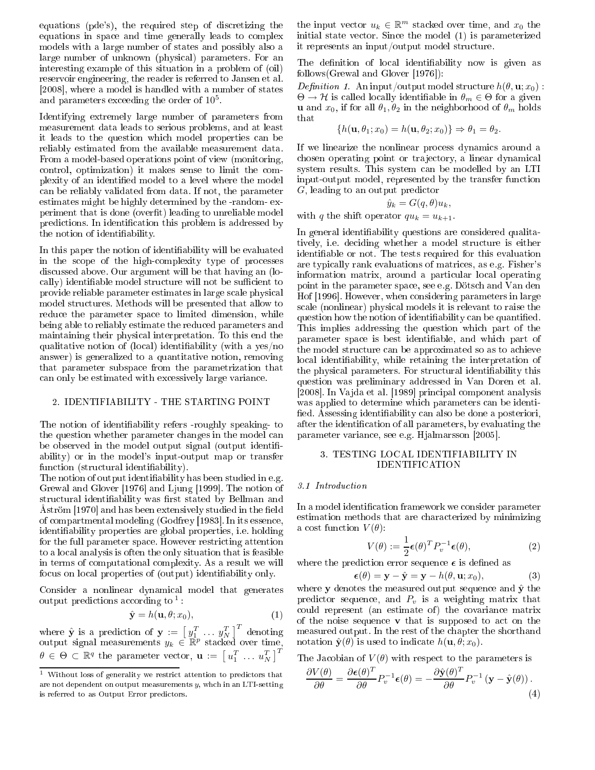equations (pde's), the required step of discretizing the equations in spa
e and time generally leads to omplex models with a large number of states and possibly also a large number of unknown (physical) parameters. For an interesting example of this situation in a problem of (oil) reservoir engineering, the reader is referred to Jansen et al. [2008], where a model is handled with a number of states and parameters exceeding the order of  $10<sup>5</sup>$ .

Identifying extremely large number of parameters from measurement data leads to serious problems, and at least it leads to the question whi
h model properties an be reliably estimated from the available measurement data. From a model-based operations point of view (monitoring, ontrol, optimization) it makes sense to limit the omplexity of an identified model to a level where the model an be reliably validated from data. If not, the parameter estimates might be highly determined by the -random- experiment that is done (overfit) leading to unreliable model predictions. In identification this problem is addressed by the notion of identifiability.

In this paper the notion of identifiability will be evaluated in the s
ope of the highomplexity type of pro
esses dis
ussed above. Our argument will be that having an (lo cally) identifiable model structure will not be sufficient to provide reliable parameter estimates in large s
ale physi
al model stru
tures. Methods will be presented that allow to redu
e the parameter spa
e to limited dimension, while being able to reliably estimate the redu
ed parameters and maintaining their physi
al interpretation. To this end the qualitative notion of (local) identifiability (with a yes/no answer) is generalized to a quantitative notion, removing that parameter subspa
e from the parametrization that an only be estimated with ex
essively large varian
e.

#### 2. IDENTIFIABILITY - THE STARTING POINT

The notion of identifiability refers -roughly speaking- to the question whether parameter hanges in the model an be observed in the model output signal (output identifiability) or in the model's input-output map or transfer function (structural identifiability).

The notion of output identifiability has been studied in e.g. Grewal and Glover [1976] and Ljung [1999]. The notion of structural identifiability was first stated by Bellman and Aström [1970] and has been extensively studied in the field of compartmental modeling (Godfrey [1983]. In its essence, identiability properties are global properties, i.e. holding for the full parameter spa
e. However restri
ting attention to a lo
al analysis is often the only situation that is feasible in terms of omputational omplexity. As a result we will focus on local properties of (output) identifiability only.

Consider a nonlinear dynami
al model that generates output predictions according to  $\frac{1}{1}$ :

$$
\hat{\mathbf{y}} = h(\mathbf{u}, \theta; x_0),\tag{1}
$$

where  $\hat{\mathbf{y}}$  is a prediction of  $\mathbf{y} := \begin{bmatrix} y_1^T & \dots & y_N^T \end{bmatrix}^T$  denoting output signal measurements  $y_k \in \mathbb{R}^p$  stacked over time,  $\theta \in \Theta \subset \mathbb{R}^q$  the parameter vector,  $\mathbf{u} := \left[\, u_1^T \; \dots \; u_N^T \,\right]^T$ 

the input vector  $u_k \in \mathbb{R}^m$  stacked over time, and  $x_0$  the initial state vector. Since the model (1) is parameterized it represents an input/output model structure.

The definition of local identifiability now is given as follows(Grewal and Glover  $[1976]$ ):

*Definition 1.* An input/output model structure  $h(\theta, \mathbf{u}; x_0)$ :  $\Theta \to \mathcal{H}$  is called locally identifiable in  $\theta_m \in \Theta$  for a given **u** and  $x_0$ , if for all  $\theta_1, \theta_2$  in the neighborhood of  $\theta_m$  holds that

$$
\{h(\mathbf{u}, \theta_1; x_0) = h(\mathbf{u}, \theta_2; x_0)\} \Rightarrow \theta_1 = \theta_2.
$$

If we linearize the nonlinear pro
ess dynami
s around a chosen operating point or trajectory, a linear dynamical system results. This system can be modelled by an LTI input-output model, represented by the transfer function G, leading to an output predictor

$$
\hat{y}_k = G(q, \theta) u_k,
$$

with q the shift operator  $qu_k = u_{k+1}$ .

In general identifiability questions are considered qualitatively, i.e. deciding whether a model structure is either identiable or not. The tests required for this evaluation are typi
ally rank evaluations of matri
es, as e.g. Fisher's information matrix, around a particular local operating point in the parameter spa
e, see e.g. Döts
h and Van den Hof [1996]. However, when considering parameters in large s
ale (nonlinear) physi
al models it is relevant to raise the question how the notion of identifiability can be quantified. This implies addressing the question whi
h part of the parameter space is best identifiable, and which part of the model structure can be approximated so as to achieve local identifiability, while retaining the interpretation of the physical parameters. For structural identifiability this question was preliminary addressed in Van Doren et al. [2008]. In Vajda et al. [1989] principal component analysis was applied to determine which parameters can be identified. Assessing identifiability can also be done a posteriori, after the identi
ation of all parameters, by evaluating the parameter variance, see e.g. Hjalmarsson [2005].

# 3. TESTING LOCAL IDENTIFIABILITY IN IDENTIFICATION

# 3.1 Introdu
tion

In a model identification framework we consider parameter estimation methods that are characterized by minimizing a cost function  $V(\theta)$ :

$$
V(\theta) := \frac{1}{2} \epsilon(\theta)^T P_v^{-1} \epsilon(\theta), \qquad (2)
$$

where the prediction error sequence  $\epsilon$  is defined as

$$
\boldsymbol{\epsilon}(\theta) = \mathbf{y} - \hat{\mathbf{y}} = \mathbf{y} - h(\theta, \mathbf{u}; x_0), \tag{3}
$$

where  $y$  denotes the measured output sequence and  $\hat{y}$  the predictor sequence, and  $P_v$  is a weighting matrix that could represent (an estimate of) the covariance matrix of the noise sequence  $\bf{v}$  that is supposed to act on the measured output. In the rest of the chapter the shorthand notation  $\hat{\mathbf{y}}(\theta)$  is used to indicate  $h(\mathbf{u}, \theta; x_0)$ .

The Jacobian of  $V(\theta)$  with respect to the parameters is

$$
\frac{\partial V(\theta)}{\partial \theta} = \frac{\partial \epsilon(\theta)^T}{\partial \theta} P_v^{-1} \epsilon(\theta) = -\frac{\partial \hat{\mathbf{y}}(\theta)^T}{\partial \theta} P_v^{-1} \left( \mathbf{y} - \hat{\mathbf{y}}(\theta) \right). \tag{4}
$$

<sup>&</sup>lt;sup>1</sup> Without loss of generality we restrict attention to predictors that are not dependent on output measurements  $y$ , whch in an LTI-setting is referred to as Output Error predictors.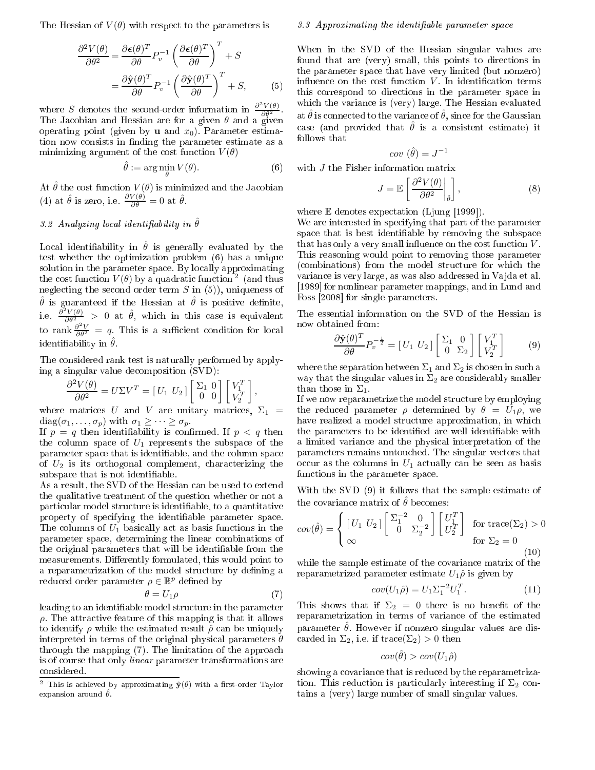The Hessian of  $V(\theta)$  with respect to the parameters is

$$
\frac{\partial^2 V(\theta)}{\partial \theta^2} = \frac{\partial \epsilon(\theta)^T}{\partial \theta} P_v^{-1} \left( \frac{\partial \epsilon(\theta)^T}{\partial \theta} \right)^T + S
$$

$$
= \frac{\partial \hat{\mathbf{y}}(\theta)^T}{\partial \theta} P_v^{-1} \left( \frac{\partial \hat{\mathbf{y}}(\theta)^T}{\partial \theta} \right)^T + S,
$$
(5)

where S denotes the second-order information in  $\frac{\partial^2 V(\theta)}{\partial \theta^2}$ . The Jacobian and Hessian are for a given  $\theta$  and a given operating point (given by **u** and  $x_0$ ). Parameter estimation now consists in finding the parameter estimate as a minimizing argument of the cost function  $V(\theta)$ 

$$
\hat{\theta} := \arg\min_{\theta} V(\theta). \tag{6}
$$

At  $\hat{\theta}$  the cost function  $V(\theta)$  is minimized and the Jacobian (4) at  $\hat{\theta}$  is zero, i.e.  $\frac{\partial V(\theta)}{\partial \theta} = 0$  at  $\hat{\theta}$ .

# 3.2 Analyzing local identifiability in  $\hat{\theta}$

Local identifiability in  $\hat{\theta}$  is generally evaluated by the test whether the optimization problem (6) has a unique solution in the parameter space. By locally approximating the cost function  $V(\theta)$  by a quadratic function  $^2$  (and thus neglecting the second order term  $S$  in (5)), uniqueness of  $\hat{\theta}$  is guaranteed if the Hessian at  $\hat{\theta}$  is positive definite, i.e.  $\frac{\partial^2 V(\theta)}{\partial \theta^2} > 0$  at  $\hat{\theta}$ , which in this case is equivalent to rank  $\frac{\partial^2 V}{\partial \theta^2} = q$ . This is a sufficient condition for local identifiability in  $\hat{\theta}$ .

The onsidered rank test is naturally performed by applying a singular value de
omposition (SVD):

$$
\frac{\partial^2 V(\theta)}{\partial \theta^2} = U \Sigma V^T = \begin{bmatrix} U_1 & U_2 \end{bmatrix} \begin{bmatrix} \Sigma_1 & 0 \\ 0 & 0 \end{bmatrix} \begin{bmatrix} V_1^T \\ V_2^T \end{bmatrix}
$$

where matrices U and V are unitary matrices,  $\Sigma_1$  =  $diag(\sigma_1, \ldots, \sigma_p)$  with  $\sigma_1 \geq \cdots \geq \sigma_p$ .

If  $p = q$  then identifiability is confirmed. If  $p < q$  then the column space of  $U_1$  represents the subspace of the parameter space that is identifiable, and the column space of  $U_2$  is its orthogonal complement, characterizing the subspace that is not identifiable.

As a result, the SVD of the Hessian can be used to extend the qualitative treatment of the question whether or not a particular model structure is identifiable, to a quantitative property of specifying the identifiable parameter space. The columns of  $U_1$  basically act as basis functions in the parameter spa
e, determining the linear ombinations of the original parameters that will be identifiable from the measurements. Differently formulated, this would point to a reparametrization of the model structure by defining a reduced order parameter  $\rho \in \mathbb{R}^p$  defined by

$$
\theta = U_1 \rho \tag{7}
$$

,

leading to an identifiable model structure in the parameter  $\rho$ . The attractive feature of this mapping is that it allows to identify  $\rho$  while the estimated result  $\hat{\rho}$  can be uniquely interpreted in terms of the original physical parameters  $\theta$ through the mapping (7). The limitation of the approa
h is of course that only *linear* parameter transformations are onsidered.

#### 3.3 Approximating the identifiable parameter space

When in the SVD of the Hessian singular values are found that are (very) small, this points to directions in the parameter spa
e that have very limited (but nonzero) influence on the cost function  $V$ . In identification terms this correspond to directions in the parameter space in which the variance is (very) large. The Hessian evaluated at  $\hat{\theta}$  is connected to the variance of  $\hat{\theta}$ , since for the Gaussian case (and provided that  $\hat{\theta}$  is a consistent estimate) it follows that

$$
cov\ (\hat{\theta})=J^{-1}
$$

with *J* the Fisher information matrix

$$
J = \mathbb{E}\left[\left.\frac{\partial^2 V(\theta)}{\partial \theta^2}\right|_{\hat{\theta}}\right],\tag{8}
$$

where  $E$  denotes expectation (Ljung [1999]).

We are interested in specifying that part of the parameter space that is best identifiable by removing the subspace that has only a very small influence on the cost function  $V$ . This reasoning would point to removing those parameter (combinations) from the model structure for which the variance is very large, as was also addressed in Vajda et al. [1989] for nonlinear parameter mappings, and in Lund and Foss [2008] for single parameters.

The essential information on the SVD of the Hessian is now obtained from:

$$
\frac{\partial \hat{\mathbf{y}}(\theta)^T}{\partial \theta} P_v^{-\frac{1}{2}} = \begin{bmatrix} U_1 & U_2 \end{bmatrix} \begin{bmatrix} \Sigma_1 & 0 \\ 0 & \Sigma_2 \end{bmatrix} \begin{bmatrix} V_1^T \\ V_2^T \end{bmatrix} \tag{9}
$$

where the separation between  $\Sigma_1$  and  $\Sigma_2$  is chosen in such a way that the singular values in  $\Sigma_2$  are considerably smaller than those in  $\Sigma_1$ .

If we now reparametrize the model stru
ture by employing the reduced parameter  $\rho$  determined by  $\theta = U_1 \rho$ , we have realized a model structure approximation, in which the parameters to be identified are well identifiable with a limited varian
e and the physi
al interpretation of the parameters remains untou
hed. The singular ve
tors that occur as the columns in  $U_1$  actually can be seen as basis fun
tions in the parameter spa
e.

With the SVD (9) it follows that the sample estimate of the covariance matrix of  $\hat{\theta}$  becomes:

$$
cov(\hat{\theta}) = \begin{cases} \begin{bmatrix} U_1 & U_2 \end{bmatrix} \begin{bmatrix} \Sigma_1^{-2} & 0 \\ 0 & \Sigma_2^{-2} \end{bmatrix} \begin{bmatrix} U_1^T \\ U_2^T \end{bmatrix} & \text{for trace}(\Sigma_2) > 0\\ \text{for } \Sigma_2 = 0 \end{cases}
$$
 (10)

while the sample estimate of the covariance matrix of the reparametrized parameter estimate  $U_1\hat{\rho}$  is given by

$$
cov(U_1\hat{\rho}) = U_1 \Sigma_1^{-2} U_1^T. \tag{11}
$$

 $\mathbf{1}$ 

This shows that if  $\Sigma_2 = 0$  there is no benefit of the reparametrization in terms of varian
e of the estimated parameter  $\hat{\theta}$ . However if nonzero singular values are discarded in  $\Sigma_2$ , i.e. if trace( $\Sigma_2$ ) > 0 then

$$
cov(\hat{\theta}) > cov(U_1\hat{\rho})
$$

showing a covariance that is reduced by the reparametrization. This reduction is particularly interesting if  $\Sigma_2$  contains a (very) large number of small singular values.

<sup>&</sup>lt;sup>2</sup> This is achieved by approximating  $\hat{\mathbf{y}}(\theta)$  with a first-order Taylor expansion around  $\hat{\theta}$ .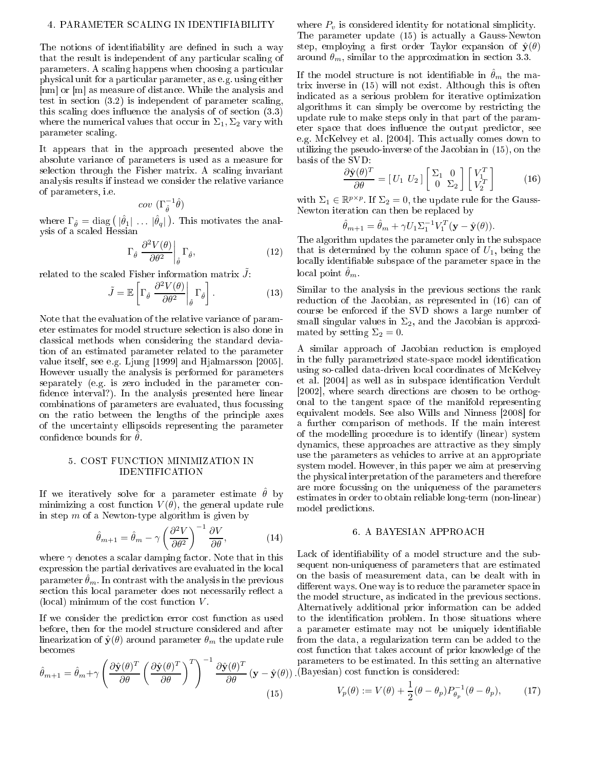#### 4. PARAMETER SCALING IN IDENTIFIABILITY

The notions of identifiability are defined in such a way that the result is independent of any particular scaling of parameters. A s
aling happens when hoosing a parti
ular physi
al unit for a parti
ular parameter, as e.g. using either [nm] or [m] as measure of distance. While the analysis and test in section  $(3.2)$  is independent of parameter scaling, this scaling does influence the analysis of of section  $(3.3)$ where the numerical values that occur in  $\Sigma_1$ ,  $\Sigma_2$  vary with parameter s
aling.

It appears that in the approa
h presented above the absolute varian
e of parameters is used as a measure for selection through the Fisher matrix. A scaling invariant analysis results if instead we onsider the relative varian
e of parameters, i.e.

$$
cov\ (\Gamma^{-1}_{\hat\theta}\hat\theta)
$$

where  $\Gamma_{\hat{\theta}} = \text{diag} \left( |\hat{\theta}_1| \dots |\hat{\theta}_q| \right)$ . This motivates the analysis of a s
aled Hessian

$$
\Gamma_{\hat{\theta}} \left. \frac{\partial^2 V(\theta)}{\partial \theta^2} \right|_{\hat{\theta}} \Gamma_{\hat{\theta}}, \tag{12}
$$

related to the scaled Fisher information matrix  $\tilde{J}$ :

$$
\tilde{J} = \mathbb{E}\left[\Gamma_{\hat{\theta}} \left. \frac{\partial^2 V(\theta)}{\partial \theta^2} \right|_{\hat{\theta}} \Gamma_{\hat{\theta}}\right].
$$
 (13)

Note that the evaluation of the relative varian
e of parameter estimates for model stru
ture sele
tion is also done in lassi
al methods when onsidering the standard deviation of an estimated parameter related to the parameter value itself, see e.g. Ljung  $[1999]$  and Hjalmarsson  $[2005]$ . However usually the analysis is performed for parameters separately (e.g. is zero included in the parameter confidence interval?). In the analysis presented here linear ombinations of parameters are evaluated, thus fo
ussing on the ratio between the lengths of the prin
iple axes of the un
ertainty ellipsoids representing the parameter confidence bounds for  $\theta$ .

# 5. COST FUNCTION MINIMIZATION IN IDENTIFICATION

If we iteratively solve for a parameter estimate  $\hat{\theta}$  by minimizing a cost function  $V(\theta)$ , the general update rule in step  $m$  of a Newton-type algorithm is given by

$$
\hat{\theta}_{m+1} = \hat{\theta}_m - \gamma \left(\frac{\partial^2 V}{\partial \theta^2}\right)^{-1} \frac{\partial V}{\partial \theta},\tag{14}
$$

where  $\gamma$  denotes a scalar damping factor. Note that in this expression the partial derivatives are evaluated in the lo
al parameter  $\hat{\theta}_m$ . In contrast with the analysis in the previous section this local parameter does not necessarily reflect a (local) minimum of the cost function  $V$ .

If we onsider the predi
tion error ost fun
tion as used before, then for the model structure considered and after linearization of  $\hat{\mathbf{y}}(\theta)$  around parameter  $\theta_m$  the update rule be
omes

$$
\hat{\theta}_{m+1} = \hat{\theta}_m + \gamma \left( \frac{\partial \hat{\mathbf{y}}(\theta)^T}{\partial \theta} \left( \frac{\partial \hat{\mathbf{y}}(\theta)^T}{\partial \theta} \right)^T \right)^{-1} \frac{\partial \hat{\mathbf{y}}(\theta)^T}{\partial \theta} (\mathbf{y} - \hat{\mathbf{y}}(\theta)).
$$
\n(15)

where  $P_v$  is considered identity for notational simplicity. The parameter update (15) is a
tually a Gauss-Newton step, employing a first order Taylor expansion of  $\hat{\mathbf{y}}(\theta)$ around  $\theta_m$ , similar to the approximation in section 3.3.

If the model structure is not identifiable in  $\hat{\theta}_m$  the matrix inverse in (15) will not exist. Although this is often indi
ated as a serious problem for iterative optimization algorithms it can simply be overcome by restricting the update rule to make steps only in that part of the parameter space that does influence the output predictor, see e.g. McKelvey et al. [2004]. This actually comes down to utilizing the pseudo-inverse of the Ja
obian in (15), on the basis of the SVD:

$$
\frac{\partial \hat{\mathbf{y}}(\theta)^T}{\partial \theta} = \begin{bmatrix} U_1 & U_2 \end{bmatrix} \begin{bmatrix} \Sigma_1 & 0 \\ 0 & \Sigma_2 \end{bmatrix} \begin{bmatrix} V_1^T \\ V_2^T \end{bmatrix} \tag{16}
$$

with  $\Sigma_1 \in \mathbb{R}^{p \times p}$ . If  $\Sigma_2 = 0$ , the update rule for the Gauss-Newton iteration an then be repla
ed by

$$
\hat{\theta}_{m+1} = \hat{\theta}_m + \gamma U_1 \Sigma_1^{-1} V_1^T (\mathbf{y} - \hat{\mathbf{y}}(\theta)).
$$

The algorithm updates the parameter only in the subspa
e that is determined by the column space of  $U_1$ , being the locally identifiable subspace of the parameter space in the local point  $\theta_m$ .

Similar to the analysis in the previous sections the rank reduction of the Jacobian, as represented in (16) can of ourse be enfor
ed if the SVD shows a large number of small singular values in  $\Sigma_2$ , and the Jacobian is approximated by setting  $\Sigma_2 = 0$ .

A similar approach of Jacobian reduction is employed in the fully parametrized state-space model identification using so-called data-driven local coordinates of McKelvey et al. [2004] as well as in subspace identification Verdult [2002], where search directions are chosen to be orthogonal to the tangent spa
e of the manifold representing equivalent models. See also Wills and Ninness [2008] for a further omparison of methods. If the main interest of the modelling pro
edure is to identify (linear) system dynamics, these approaches are attractive as they simply use the parameters as vehi
les to arrive at an appropriate system model. However, in this paper we aim at preserving the physi
al interpretation of the parameters and therefore are more fo
ussing on the uniqueness of the parameters estimates in order to obtain reliable long-term (non-linear) model predi
tions.

### 6. A BAYESIAN APPROACH

Lack of identifiability of a model structure and the subsequent non-uniqueness of parameters that are estimated on the basis of measurement data, an be dealt with in different ways. One way is to reduce the parameter space in the model structure, as indicated in the previous sections. Alternatively additional prior information an be added to the identification problem. In those situations where a parameter estimate may not be uniquely identiable from the data, a regularization term an be added to the cost function that takes account of prior knowledge of the parameters to be estimated. In this setting an alternative (Bayesian) ost fun
tion is onsidered:

$$
V_p(\theta) := V(\theta) + \frac{1}{2}(\theta - \theta_p)P_{\theta_p}^{-1}(\theta - \theta_p),
$$
 (17)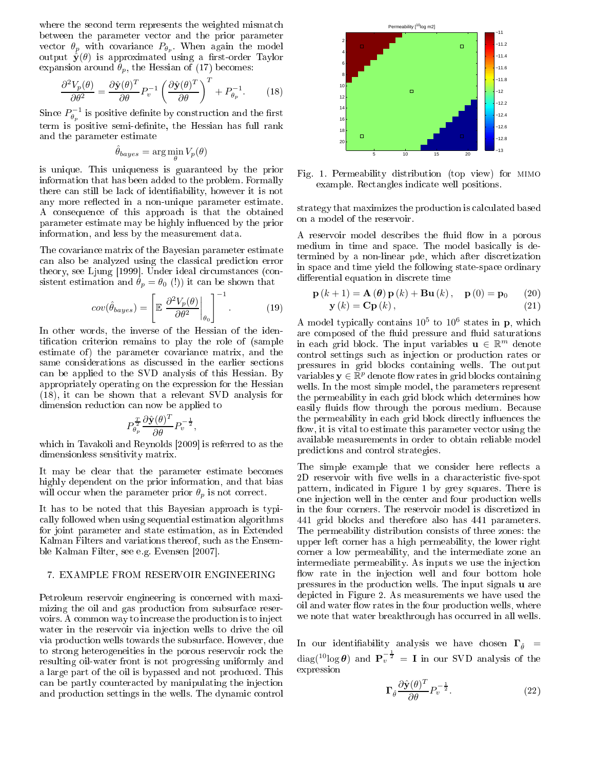where the second term represents the weighted mismatch vector  $\theta_p$  with covariance  $P_{\theta_p}$ . When again the model<br>output  $\hat{\mathbf{y}}(\theta)$  is approximated using a first-order Taylor expansion around  $\theta_p$ , the Hessian of (17) becomes:

$$
\frac{\partial^2 V_p(\theta)}{\partial \theta^2} = \frac{\partial \hat{\mathbf{y}}(\theta)^T}{\partial \theta} P_v^{-1} \left( \frac{\partial \hat{\mathbf{y}}(\theta)^T}{\partial \theta} \right)^T + P_{\theta_p}^{-1}.
$$
 (18)

Since  $P_{\theta_p}^{-1}$  is positive definite by construction and the first term is positive semi-definite, the Hessian has full rank and the parameter estimate

$$
\hat{\theta}_{bayes} = \arg\min_{\theta} V_p(\theta)
$$

is unique. This uniqueness is guaranteed by the prior information that has been added to the problem. Formally there can still be lack of identifiability, however it is not any more reflected in a non-unique parameter estimate. A onsequen
e of this approa
h is that the obtained parameter estimate may be highly influenced by the prior information, and less by the measurement data.

The ovarian
e matrix of the Bayesian parameter estimate an also be analyzed using the lassi
al predi
tion error theory, see Ljung [1999]. Under ideal circumstances (consistent estimation and  $\theta_p = \theta_0$  (!)) it can be shown that

$$
cov(\hat{\theta}_{bayes}) = \left[ \mathbb{E} \left. \frac{\partial^2 V_p(\theta)}{\partial \theta^2} \right|_{\theta_0} \right]^{-1}.
$$
 (19)

In other words, the inverse of the Hessian of the identification criterion remains to play the role of (sample estimate of) the parameter covariance matrix, and the same considerations as discussed in the earlier sections an be applied to the SVD analysis of this Hessian. By appropriately operating on the expression for the Hessian (18), it an be shown that a relevant SVD analysis for dimension reduction can now be applied to

$$
P_{\theta_p}^{\frac{T}{2}} \frac{\partial \hat{\mathbf{y}}(\theta)^T}{\partial \theta} P_v^{-\frac{1}{2}},
$$

which in Tavakoli and Reynolds [2009] is referred to as the dimensionless sensitivity matrix.

It may be clear that the parameter estimate becomes highly dependent on the prior information, and that bias will occur when the parameter prior  $\theta_p$  is not correct.

It has to be noted that this Bayesian approach is typially followed when using sequential estimation algorithms for joint parameter and state estimation, as in Extended Kalman Filters and variations thereof, su
h as the Ensemble Kalman Filter, see e.g. Evensen [2007].

## 7. EXAMPLE FROM RESERVOIR ENGINEERING

Petroleum reservoir engineering is concerned with maximizing the oil and gas produ
tion from subsurfa
e reservoirs. A common way to increase the production is to inject water in the reservoir via injection wells to drive the oil via produ
tion wells towards the subsurfa
e. However, due to strong heterogeneities in the porous reservoir ro
k the resulting oil-water front is not progressing uniformly and a large part of the oil is bypassed and not produ
ed. This an be partly ountera
ted by manipulating the inje
tion and production settings in the wells. The dynamic control



Fig. 1. Permeability distribution (top view) for mimo example. Re
tangles indi
ate well positions.

strategy that maximizes the production is calculated based on a model of the reservoir.

A reservoir model describes the fluid flow in a porous medium in time and spa
e. The model basi
ally is determined by a non-linear pde, whi
h after dis
retization in spa
e and time yield the following state-spa
e ordinary differential equation in discrete time

$$
\mathbf{p}(k+1) = \mathbf{A}(\boldsymbol{\theta})\mathbf{p}(k) + \mathbf{B}\mathbf{u}(k), \quad \mathbf{p}(0) = \mathbf{p}_0 \qquad (20)
$$
  

$$
\mathbf{y}(k) = \mathbf{C}\mathbf{p}(k), \qquad (21)
$$

A model typically contains  $10^5$  to  $10^6$  states in p, which are composed of the fluid pressure and fluid saturations in each grid block. The input variables  $\mathbf{u} \in \mathbb{R}^m$  denote ontrol settings su
h as inje
tion or produ
tion rates or pressures in grid blo
ks ontaining wells. The output variables  $\mathbf{y} \in \mathbb{R}^p$  denote flow rates in grid blocks containing wells. In the most simple model, the parameters represent the permeability in each grid block which determines how easily fluids flow through the porous medium. Because the permeability in each grid block directly influences the flow, it is vital to estimate this parameter vector using the available measurements in order to obtain reliable model predi
tions and ontrol strategies.

The simple example that we consider here reflects a 2D reservoir with five wells in a characteristic five-spot pattern, indi
ated in Figure 1 by grey squares. There is one inje
tion well in the enter and four produ
tion wells in the four orners. The reservoir model is dis
retized in 441 grid blo
ks and therefore also has 441 parameters. The permeability distribution onsists of three zones: the upper left orner has a high permeability, the lower right orner a low permeability, and the intermediate zone an intermediate permeability. As inputs we use the injection flow rate in the injection well and four bottom hole pressures in the production wells. The input signals **u** are depi
ted in Figure 2. As measurements we have used the oil and water flow rates in the four production wells, where we note that water breakthrough has occurred in all wells.

In our identifiability analysis we have chosen  $\Gamma_{\hat{\theta}}$  =  $\text{diag}({}^{10}\text{log}\,\boldsymbol{\theta})$  and  $\textbf{P}_{v}^{-\frac{1}{2}} = \textbf{I}$  in our SVD analysis of the expression

$$
\Gamma_{\hat{\theta}} \frac{\partial \hat{\mathbf{y}}(\theta)^{T}}{\partial \theta} P_{v}^{-\frac{1}{2}}.
$$
 (22)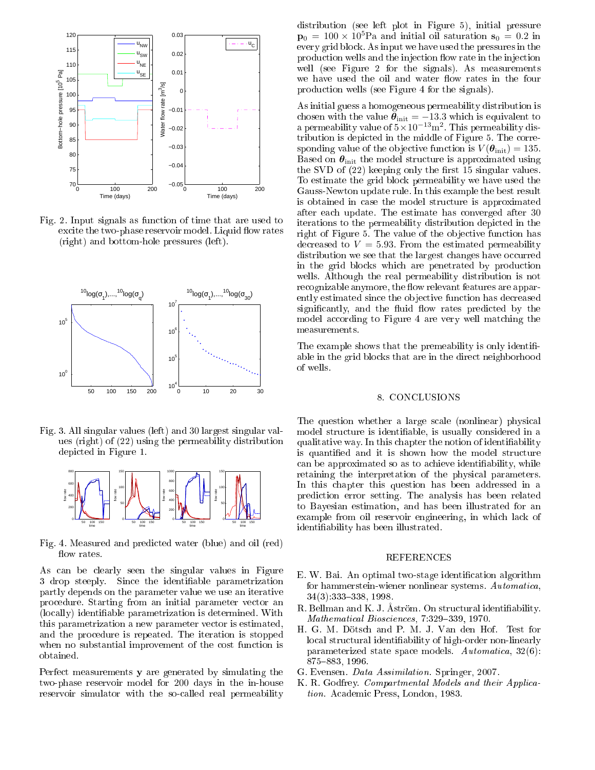

Fig. 2. Input signals as function of time that are used to excite the two-phase reservoir model. Liquid flow rates (right) and bottom-hole pressures (left).



Fig. 3. All singular values (left) and 30 largest singular values (right) of (22) using the permeability distribution depi
ted in Figure 1.



Fig. 4. Measured and predicted water (blue) and oil (red) flow rates.

As an be learly seen the singular values in Figure 3 drop steeply. Since the identifiable parametrization partly depends on the parameter value we use an iterative pro
edure. Starting from an initial parameter ve
tor an (lo
ally) identiable parametrization is determined. With this parametrization a new parameter vector is estimated, and the pro
edure is repeated. The iteration is stopped when no substantial improvement of the cost function is obtained.

Perfe
t measurements y are generated by simulating the two-phase reservoir model for 200 days in the in-house reservoir simulator with the so-called real permeability

distribution (see left plot in Figure 5), initial pressure  $p_0 = 100 \times 10^5$ Pa and initial oil saturation  $s_0 = 0.2$  in every grid blo
k. As input we have used the pressures in the production wells and the injection flow rate in the injection well (see Figure 2 for the signals). As measurements we have used the oil and water flow rates in the four produ
tion wells (see Figure 4 for the signals).

As initial guess a homogeneous permeability distribution is chosen with the value  $\theta_{\text{init}} = -13.3$  which is equivalent to a permeability value of  $5 \times 10^{-13}$  m<sup>2</sup>. This permeability distribution is depicted in the middle of Figure 5. The corresponding value of the objective function is  $V(\theta_{\text{init}}) = 135$ . Based on  $\theta_{\text{init}}$  the model structure is approximated using the SVD of  $(22)$  keeping only the first 15 singular values. To estimate the grid blo
k permeability we have used the Gauss-Newton update rule. In this example the best result is obtained in ase the model stru
ture is approximated after ea
h update. The estimate has onverged after 30 iterations to the permeability distribution depicted in the right of Figure 5. The value of the objective function has decreased to  $V = 5.93$ . From the estimated permeability distribution we see that the largest changes have occurred in the grid blo
ks whi
h are penetrated by produ
tion wells. Although the real permeability distribution is not recognizable anymore, the flow relevant features are apparently estimated since the objective function has decreased significantly, and the fluid flow rates predicted by the model according to Figure 4 are very well matching the measurements.

The example shows that the premeability is only identifiable in the grid blo
ks that are in the dire
t neighborhood of wells.

#### 8. CONCLUSIONS

The question whether a large scale (nonlinear) physical model structure is identifiable, is usually considered in a qualitative way. In this hapter the notion of identiability is quantified and it is shown how the model structure an be approximated so as to a
hieve identiability, while retaining the interpretation of the physi
al parameters. In this chapter this question has been addressed in a predi
tion error setting. The analysis has been related to Bayesian estimation, and has been illustrated for an example from oil reservoir engineering, in whi
h la
k of identiability has been illustrated.

#### REFERENCES

- E. W. Bai. An optimal two-stage identification algorithm for hammerstein-wiener nonlinear systems. Automatica,  $34(3):333-338,1998.$
- R. Bellman and K. J. Åström. On structural identifiability. Mathematical Biosciences, 7:329-339, 1970.
- H. G. M. Döts
h and P. M. J. Van den Hof. Test for local structural identifiability of high-order non-linearly parameterized state spa
e models. Automati
a, 32(6): 875-883, 1996.
- G. Evensen. Data Assimilation. Springer, 2007.
- K. R. Godfrey. Compartmental Models and their Application. Academic Press, London, 1983.